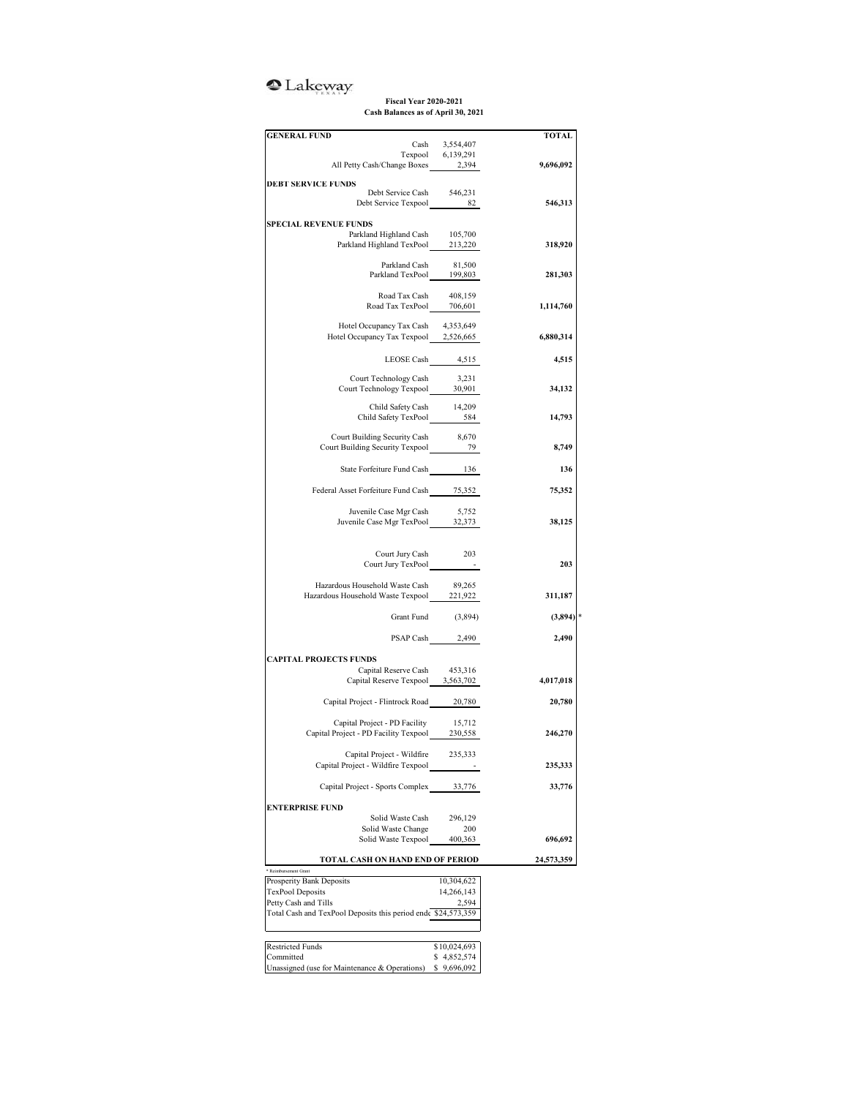## <sup>o</sup>Lakeway

**Fiscal Year 2020-2021 Cash Balances as of April 30, 2021**

| <b>GENERAL FUND</b>                                                                  |                                     | <b>TOTAL</b> |
|--------------------------------------------------------------------------------------|-------------------------------------|--------------|
|                                                                                      | Cash 3,554,407<br>Texpool 6,139,291 |              |
| All Petty Cash/Change Boxes 2,394                                                    |                                     | 9,696,092    |
|                                                                                      |                                     |              |
| <b>DEBT SERVICE FUNDS</b>                                                            |                                     |              |
| Debt Service Cash 546,231<br>Debt Service Texpool                                    | 82                                  | 546,313      |
|                                                                                      |                                     |              |
| <b>SPECIAL REVENUE FUNDS</b>                                                         |                                     |              |
| Parkland Highland Cash                                                               | 105,700                             |              |
| Parkland Highland TexPool 213,220                                                    |                                     | 318,920      |
|                                                                                      |                                     |              |
| Parkland Cash<br>Parkland Cash 81,500<br>Parkland TexPool 199,803                    | 81,500                              | 281,303      |
|                                                                                      |                                     |              |
| Road Tax Cash 408,159                                                                |                                     |              |
| Road Tax TexPool 706,601                                                             |                                     | 1,114,760    |
|                                                                                      |                                     |              |
| Hotel Occupancy Tax Cash<br>Hotel Occupancy Tax Texpool 2,526,665                    | 4,353,649                           | 6,880,314    |
|                                                                                      |                                     |              |
|                                                                                      | LEOSE Cash 4,515                    | 4,515        |
|                                                                                      |                                     |              |
| Court Technology Cash<br>Court Technology Texpool                                    | 3,231                               |              |
|                                                                                      | 30,901                              | 34,132       |
| Child Safety Cash 14,209                                                             |                                     |              |
| Child Safety TexPool 584                                                             |                                     | 14,793       |
|                                                                                      |                                     |              |
| Court Building Security Cash 8,670                                                   |                                     |              |
| Court Building Security Texpool 2007                                                 |                                     | 8,749        |
|                                                                                      |                                     |              |
| State Forfeiture Fund Cash 136                                                       |                                     | 136          |
| Federal Asset Forfeiture Fund Cash 75,352                                            |                                     | 75,352       |
|                                                                                      |                                     |              |
|                                                                                      |                                     |              |
| Juvenile Case Mgr Cash 5,752<br>Juvenile Case Mgr TexPool 32,373                     |                                     | 38,125       |
|                                                                                      |                                     |              |
|                                                                                      |                                     |              |
| Court Jury Cash 203                                                                  |                                     |              |
| Court Jury TexPool -                                                                 |                                     | 203          |
| Hazardous Household Waste Cash                                                       | 89,265                              |              |
| riazaruous riousenoid waste Cash 89,265<br>Hazardous Household Waste Texpool 221,922 |                                     | 311,187      |
|                                                                                      |                                     |              |
|                                                                                      | Grant Fund (3,894)                  | (3,894)      |
|                                                                                      |                                     |              |
|                                                                                      | PSAP Cash 2,490                     | 2,490        |
|                                                                                      |                                     |              |
| <b>CAPITAL PROJECTS FUNDS</b><br>Capital Reserve Cash 453,316                        |                                     |              |
| Capital Reserve Texpool 3,563,702                                                    |                                     | 4,017,018    |
|                                                                                      |                                     |              |
| Capital Project - Flintrock Road 20,780                                              |                                     | 20,780       |
|                                                                                      |                                     |              |
| Capital Project - PD Facility                                                        | 15,712                              |              |
| Capital Project - PD Facility Texpool 230,558                                        |                                     | 246,270      |
|                                                                                      |                                     |              |
| Capital Project - Wildfire<br>Capital Project - Wildfire Texpool                     | 235,333                             |              |
|                                                                                      |                                     | 235,333      |
| Capital Project - Sports Complex                                                     | 33,776                              | 33,776       |
|                                                                                      |                                     |              |
| <b>ENTERPRISE FUND</b>                                                               |                                     |              |
| Solid Waste Cash                                                                     | 296,129                             |              |
| Solid Waste Change                                                                   | 200                                 |              |
| Solid Waste Texpool                                                                  | 400,363                             | 696,692      |
| TOTAL CASH ON HAND END OF PERIOD                                                     |                                     | 24,573,359   |
| Reimbursement Grant                                                                  |                                     |              |
| Prosperity Bank Deposits                                                             | 10,304,622                          |              |
| TexPool Deposits                                                                     | 14,266,143                          |              |
| Petty Cash and Tills                                                                 | 2,594                               |              |
| Total Cash and TexPool Deposits this period ends \$24,573,359                        |                                     |              |
|                                                                                      |                                     |              |
| <b>Restricted Funds</b>                                                              | \$10,024,693                        |              |
| Committed                                                                            | \$4,852,574                         |              |
| Unassigned (use for Maintenance & Operations)                                        | \$9,696,092                         |              |
|                                                                                      |                                     |              |